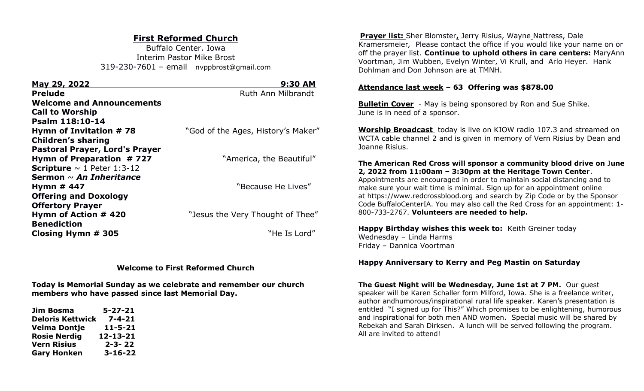# **First Reformed Church**

Buffalo Center. Iowa Interim Pastor Mike Brost 319-230-7601 – email nvppbrost@gmail.com

| <u>May 29, 2022</u>                    | 9:30 AM                            |
|----------------------------------------|------------------------------------|
| <b>Prelude</b>                         | Ruth Ann Milbrandt                 |
| <b>Welcome and Announcements</b>       |                                    |
| <b>Call to Worship</b>                 |                                    |
| Psalm 118:10-14                        |                                    |
| Hymn of Invitation #78                 | "God of the Ages, History's Maker" |
| <b>Children's sharing</b>              |                                    |
| <b>Pastoral Prayer, Lord's Prayer</b>  |                                    |
| Hymn of Preparation $# 727$            | "America, the Beautiful"           |
| <b>Scripture</b> $\sim$ 1 Peter 1:3-12 |                                    |
| Sermon $\sim$ An Inheritance           |                                    |
| Hymn $#$ 447                           | "Because He Lives"                 |
| <b>Offering and Doxology</b>           |                                    |
| <b>Offertory Prayer</b>                |                                    |
| Hymn of Action # 420                   | "Jesus the Very Thought of Thee"   |
| <b>Benediction</b>                     |                                    |
| Closing Hymn # 305                     | "He Is Lord"                       |
|                                        |                                    |

### **Welcome to First Reformed Church**

**Today is Memorial Sunday as we celebrate and remember our church members who have passed since last Memorial Day.**

| Jim Bosma               | $5 - 27 - 21$ |
|-------------------------|---------------|
| <b>Deloris Kettwick</b> | $7 - 4 - 21$  |
| Velma Dontje            | $11 - 5 - 21$ |
| <b>Rosie Nerdig</b>     | 12-13-21      |
| <b>Vern Risius</b>      | $2 - 3 - 22$  |
| <b>Gary Honken</b>      | $3 - 16 - 22$ |

**Prayer list:** Sher Blomster**,** Jerry Risius, Wayne Nattress, Dale Kramersmeier*,* Please contact the office if you would like your name on or off the prayer list. **Continue to uphold others in care centers:** MaryAnn Voortman, Jim Wubben, Evelyn Winter, Vi Krull, and Arlo Heyer. Hank Dohlman and Don Johnson are at TMNH.

## **Attendance last week – 63 Offering was \$878.00**

**Bulletin Cover** - May is being sponsored by Ron and Sue Shike. June is in need of a sponsor.

**Worship Broadcast** today is live on KIOW radio 107.3 and streamed on WCTA cable channel 2 and is given in memory of Vern Risius by Dean and Joanne Risius.

## **The American Red Cross will sponsor a community blood drive on** J**une 2, 2022 from 11:00am – 3:30pm at the Heritage Town Center**.

Appointments are encouraged in order to maintain social distancing and to make sure your wait time is minimal. Sign up for an appointment online at [https://www.redcrossblood.org](https://www.redcrossblood.org/) and search by Zip Code or by the Sponsor Code BuffaloCenterIA. You may also call the Red Cross for an appointment: 1- 800-733-2767. **Volunteers are needed to help.**

**Happy Birthday wishes this week to:** Keith Greiner today Wednesday – Linda Harms Friday – Dannica Voortman

**Happy Anniversary to Kerry and Peg Mastin on Saturday**

**The Guest Night will be Wednesday, June 1st at 7 PM.** Our guest speaker will be Karen Schaller form Milford, Iowa. She is a freelance writer, author andhumorous/inspirational rural life speaker. Karen's presentation is entitled "I signed up for This?" Which promises to be enlightening, humorous and inspirational for both men AND women. Special music will be shared by Rebekah and Sarah Dirksen. A lunch will be served following the program. All are invited to attend!